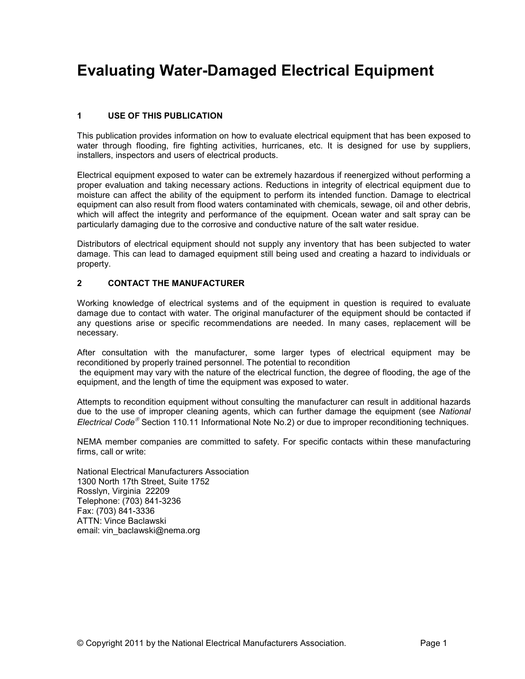# **Evaluating Water-Damaged Electrical Equipment**

# **1 USE OF THIS PUBLICATION**

This publication provides information on how to evaluate electrical equipment that has been exposed to water through flooding, fire fighting activities, hurricanes, etc. It is designed for use by suppliers, installers, inspectors and users of electrical products.

Electrical equipment exposed to water can be extremely hazardous if reenergized without performing a proper evaluation and taking necessary actions. Reductions in integrity of electrical equipment due to moisture can affect the ability of the equipment to perform its intended function. Damage to electrical equipment can also result from flood waters contaminated with chemicals, sewage, oil and other debris, which will affect the integrity and performance of the equipment. Ocean water and salt spray can be particularly damaging due to the corrosive and conductive nature of the salt water residue.

Distributors of electrical equipment should not supply any inventory that has been subjected to water damage. This can lead to damaged equipment still being used and creating a hazard to individuals or property.

## **2 CONTACT THE MANUFACTURER**

Working knowledge of electrical systems and of the equipment in question is required to evaluate damage due to contact with water. The original manufacturer of the equipment should be contacted if any questions arise or specific recommendations are needed. In many cases, replacement will be necessary.

After consultation with the manufacturer, some larger types of electrical equipment may be reconditioned by properly trained personnel. The potential to recondition

 the equipment may vary with the nature of the electrical function, the degree of flooding, the age of the equipment, and the length of time the equipment was exposed to water.

Attempts to recondition equipment without consulting the manufacturer can result in additional hazards due to the use of improper cleaning agents, which can further damage the equipment (see *National Electrical Code* Section 110.11 Informational Note No.2) or due to improper reconditioning techniques.

NEMA member companies are committed to safety. For specific contacts within these manufacturing firms, call or write:

National Electrical Manufacturers Association 1300 North 17th Street, Suite 1752 Rosslyn, Virginia 22209 Telephone: (703) 841-3236 Fax: (703) 841-3336 ATTN: Vince Baclawski email: vin\_baclawski@nema.org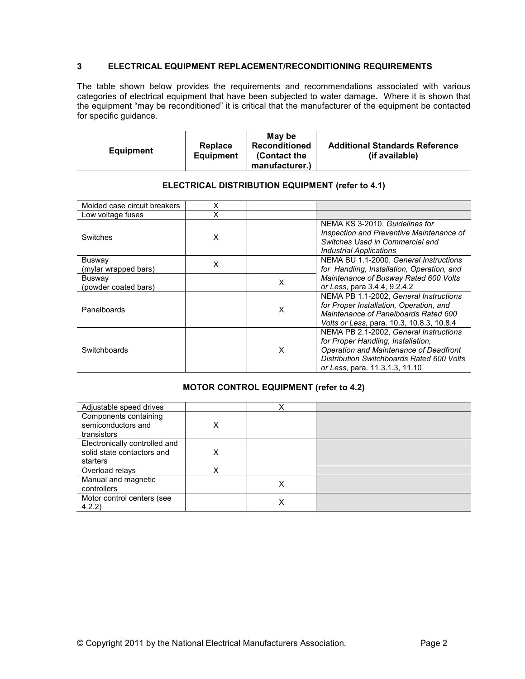## **3 ELECTRICAL EQUIPMENT REPLACEMENT/RECONDITIONING REQUIREMENTS**

The table shown below provides the requirements and recommendations associated with various categories of electrical equipment that have been subjected to water damage. Where it is shown that the equipment "may be reconditioned" it is critical that the manufacturer of the equipment be contacted for specific guidance.

| <b>Equipment</b> | Replace<br><b>Equipment</b> | Mav be<br><b>Reconditioned</b><br>(Contact the<br>manufacturer.) | <b>Additional Standards Reference</b><br>(if available) |
|------------------|-----------------------------|------------------------------------------------------------------|---------------------------------------------------------|
|------------------|-----------------------------|------------------------------------------------------------------|---------------------------------------------------------|

| Molded case circuit breakers   | Χ |   |                                                                                                                                                                                                       |
|--------------------------------|---|---|-------------------------------------------------------------------------------------------------------------------------------------------------------------------------------------------------------|
| Low voltage fuses              | x |   |                                                                                                                                                                                                       |
| Switches                       | X |   | NEMA KS 3-2010, Guidelines for<br>Inspection and Preventive Maintenance of<br>Switches Used in Commercial and<br><b>Industrial Applications</b>                                                       |
| Busway<br>(mylar wrapped bars) | X |   | NEMA BU 1.1-2000. General Instructions<br>for Handling, Installation, Operation, and                                                                                                                  |
| Busway<br>(powder coated bars) |   | X | Maintenance of Busway Rated 600 Volts<br>or Less, para 3.4.4, 9.2.4.2                                                                                                                                 |
| Panelboards                    |   | X | NEMA PB 1.1-2002, General Instructions<br>for Proper Installation, Operation, and<br>Maintenance of Panelboards Rated 600<br>Volts or Less, para. 10.3, 10.8.3, 10.8.4                                |
| Switchboards                   |   | X | NEMA PB 2.1-2002, General Instructions<br>for Proper Handling, Installation,<br>Operation and Maintenance of Deadfront<br>Distribution Switchboards Rated 600 Volts<br>or Less, para. 11.3.1.3, 11.10 |

#### **ELECTRICAL DISTRIBUTION EQUIPMENT (refer to 4.1)**

## **MOTOR CONTROL EQUIPMENT (refer to 4.2)**

| Adjustable speed drives                                                 |   |   |  |
|-------------------------------------------------------------------------|---|---|--|
| Components containing<br>semiconductors and<br>transistors              | Х |   |  |
| Electronically controlled and<br>solid state contactors and<br>starters | Χ |   |  |
| Overload relays                                                         | X |   |  |
| Manual and magnetic<br>controllers                                      |   | X |  |
| Motor control centers (see<br>4.2.2)                                    |   | х |  |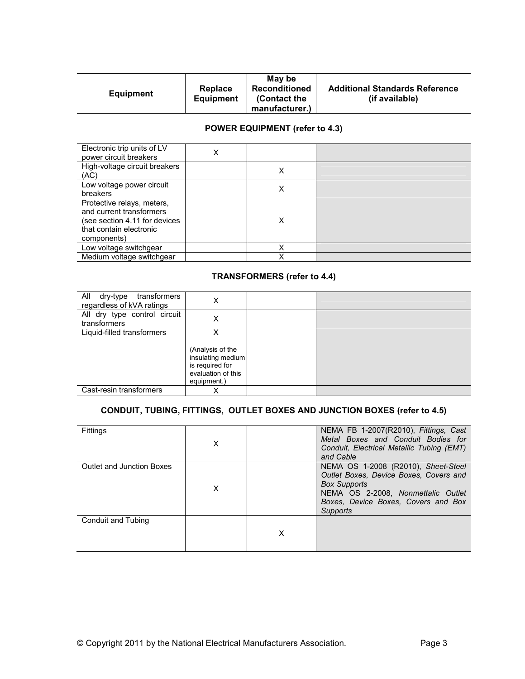|                  |           | May be               |                                       |
|------------------|-----------|----------------------|---------------------------------------|
|                  | Replace   | <b>Reconditioned</b> | <b>Additional Standards Reference</b> |
| <b>Equipment</b> | Equipment | (Contact the         | (if available)                        |
|                  |           | manufacturer.)       |                                       |

# **POWER EQUIPMENT (refer to 4.3)**

| Electronic trip units of LV<br>power circuit breakers                                                                             | Χ |   |  |
|-----------------------------------------------------------------------------------------------------------------------------------|---|---|--|
| High-voltage circuit breakers<br>(AC)                                                                                             |   | x |  |
| Low voltage power circuit<br>breakers                                                                                             |   | Χ |  |
| Protective relays, meters,<br>and current transformers<br>(see section 4.11 for devices<br>that contain electronic<br>components) |   | х |  |
| Low voltage switchgear                                                                                                            |   |   |  |
| Medium voltage switchgear                                                                                                         |   |   |  |

#### **TRANSFORMERS (refer to 4.4)**

| All dry-type<br>transformers<br>regardless of kVA ratings | Х                                                                                                  |  |
|-----------------------------------------------------------|----------------------------------------------------------------------------------------------------|--|
| All dry type control circuit<br>transformers              | X                                                                                                  |  |
| Liquid-filled transformers                                | X<br>(Analysis of the<br>insulating medium<br>is required for<br>evaluation of this<br>equipment.) |  |
| Cast-resin transformers                                   | X                                                                                                  |  |

# **CONDUIT, TUBING, FITTINGS, OUTLET BOXES AND JUNCTION BOXES (refer to 4.5)**

| Fittings                  | X |   | NEMA FB 1-2007(R2010), Fittings, Cast<br>Metal Boxes and Conduit Bodies for<br>Conduit, Electrical Metallic Tubing (EMT)<br>and Cable                                                         |
|---------------------------|---|---|-----------------------------------------------------------------------------------------------------------------------------------------------------------------------------------------------|
| Outlet and Junction Boxes | X |   | NEMA OS 1-2008 (R2010), Sheet-Steel<br>Outlet Boxes, Device Boxes, Covers and<br><b>Box Supports</b><br>NEMA OS 2-2008, Nonmettalic Outlet<br>Boxes, Device Boxes, Covers and Box<br>Supports |
| Conduit and Tubing        |   | X |                                                                                                                                                                                               |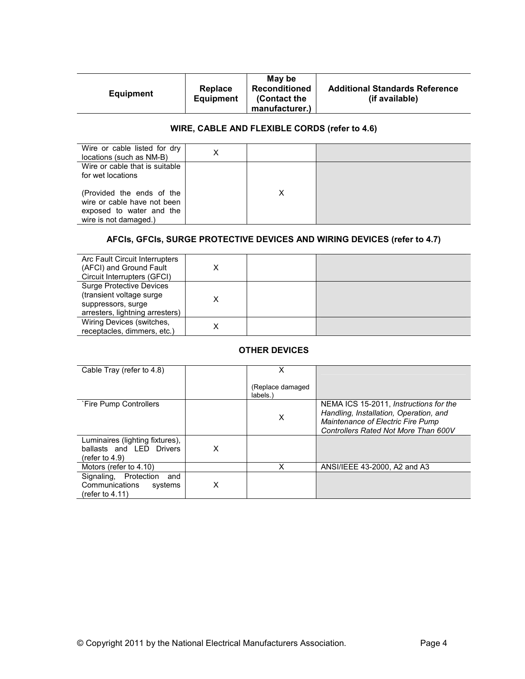|                  |           | May be               |                                       |
|------------------|-----------|----------------------|---------------------------------------|
|                  | Replace   | <b>Reconditioned</b> | <b>Additional Standards Reference</b> |
| <b>Equipment</b> | Equipment | (Contact the         | (if available)                        |
|                  |           | manufacturer.)       |                                       |

# **WIRE, CABLE AND FLEXIBLE CORDS (refer to 4.6)**

| Wire or cable listed for dry<br>locations (such as NM-B)                                                      | X |  |
|---------------------------------------------------------------------------------------------------------------|---|--|
| Wire or cable that is suitable<br>for wet locations                                                           |   |  |
| (Provided the ends of the<br>wire or cable have not been<br>exposed to water and the<br>wire is not damaged.) |   |  |

# **AFCIs, GFCIs, SURGE PROTECTIVE DEVICES AND WIRING DEVICES (refer to 4.7)**

| Arc Fault Circuit Interrupters<br>(AFCI) and Ground Fault<br>Circuit Interrupters (GFCI)                             | X |  |
|----------------------------------------------------------------------------------------------------------------------|---|--|
| <b>Surge Protective Devices</b><br>(transient voltage surge<br>suppressors, surge<br>arresters, lightning arresters) | x |  |
| Wiring Devices (switches,<br>receptacles, dimmers, etc.)                                                             | x |  |

# **OTHER DEVICES**

| Cable Tray (refer to 4.8)                                                        |   | x                             |                                                                                                                                                               |
|----------------------------------------------------------------------------------|---|-------------------------------|---------------------------------------------------------------------------------------------------------------------------------------------------------------|
|                                                                                  |   | (Replace damaged)<br>labels.) |                                                                                                                                                               |
| `Fire Pump Controllers                                                           |   | X                             | NEMA ICS 15-2011, Instructions for the<br>Handling, Installation, Operation, and<br>Maintenance of Electric Fire Pump<br>Controllers Rated Not More Than 600V |
| Luminaires (lighting fixtures),<br>ballasts and LED Drivers<br>(refer to $4.9$ ) | X |                               |                                                                                                                                                               |
| Motors (refer to 4.10)                                                           |   | х                             | ANSI/IEEE 43-2000, A2 and A3                                                                                                                                  |
| Signaling, Protection<br>and<br>Communications<br>systems<br>(refer to $4.11$ )  | X |                               |                                                                                                                                                               |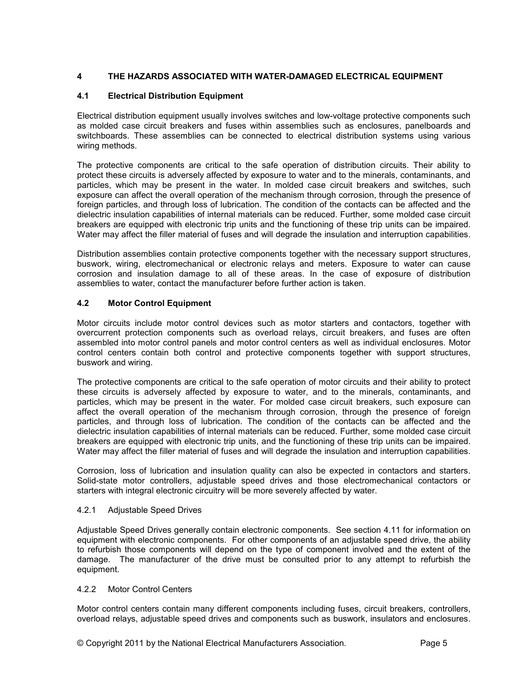## **4 THE HAZARDS ASSOCIATED WITH WATER-DAMAGED ELECTRICAL EQUIPMENT**

#### **4.1 Electrical Distribution Equipment**

Electrical distribution equipment usually involves switches and low-voltage protective components such as molded case circuit breakers and fuses within assemblies such as enclosures, panelboards and switchboards. These assemblies can be connected to electrical distribution systems using various wiring methods.

The protective components are critical to the safe operation of distribution circuits. Their ability to protect these circuits is adversely affected by exposure to water and to the minerals, contaminants, and particles, which may be present in the water. In molded case circuit breakers and switches, such exposure can affect the overall operation of the mechanism through corrosion, through the presence of foreign particles, and through loss of lubrication. The condition of the contacts can be affected and the dielectric insulation capabilities of internal materials can be reduced. Further, some molded case circuit breakers are equipped with electronic trip units and the functioning of these trip units can be impaired. Water may affect the filler material of fuses and will degrade the insulation and interruption capabilities.

Distribution assemblies contain protective components together with the necessary support structures, buswork, wiring, electromechanical or electronic relays and meters. Exposure to water can cause corrosion and insulation damage to all of these areas. In the case of exposure of distribution assemblies to water, contact the manufacturer before further action is taken.

## **4.2 Motor Control Equipment**

Motor circuits include motor control devices such as motor starters and contactors, together with overcurrent protection components such as overload relays, circuit breakers, and fuses are often assembled into motor control panels and motor control centers as well as individual enclosures. Motor control centers contain both control and protective components together with support structures, buswork and wiring.

The protective components are critical to the safe operation of motor circuits and their ability to protect these circuits is adversely affected by exposure to water, and to the minerals, contaminants, and particles, which may be present in the water. For molded case circuit breakers, such exposure can affect the overall operation of the mechanism through corrosion, through the presence of foreign particles, and through loss of lubrication. The condition of the contacts can be affected and the dielectric insulation capabilities of internal materials can be reduced. Further, some molded case circuit breakers are equipped with electronic trip units, and the functioning of these trip units can be impaired. Water may affect the filler material of fuses and will degrade the insulation and interruption capabilities.

Corrosion, loss of lubrication and insulation quality can also be expected in contactors and starters. Solid-state motor controllers, adjustable speed drives and those electromechanical contactors or starters with integral electronic circuitry will be more severely affected by water.

#### 4.2.1 Adjustable Speed Drives

Adjustable Speed Drives generally contain electronic components. See section 4.11 for information on equipment with electronic components. For other components of an adjustable speed drive, the ability to refurbish those components will depend on the type of component involved and the extent of the damage. The manufacturer of the drive must be consulted prior to any attempt to refurbish the equipment.

## 4.2.2 Motor Control Centers

Motor control centers contain many different components including fuses, circuit breakers, controllers, overload relays, adjustable speed drives and components such as buswork, insulators and enclosures.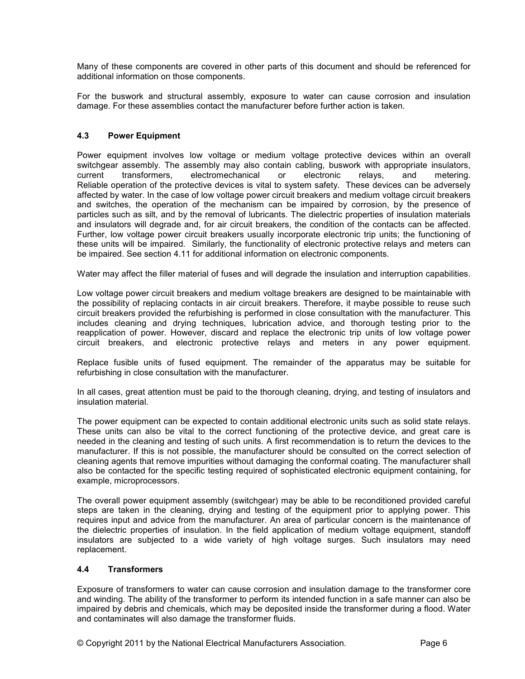Many of these components are covered in other parts of this document and should be referenced for additional information on those components.

For the buswork and structural assembly, exposure to water can cause corrosion and insulation damage. For these assemblies contact the manufacturer before further action is taken.

#### **4.3 Power Equipment**

Power equipment involves low voltage or medium voltage protective devices within an overall switchgear assembly. The assembly may also contain cabling, buswork with appropriate insulators, current transformers, electromechanical or electronic relays, and metering. Reliable operation of the protective devices is vital to system safety. These devices can be adversely affected by water. In the case of low voltage power circuit breakers and medium voltage circuit breakers and switches, the operation of the mechanism can be impaired by corrosion, by the presence of particles such as silt, and by the removal of lubricants. The dielectric properties of insulation materials and insulators will degrade and, for air circuit breakers, the condition of the contacts can be affected. Further, low voltage power circuit breakers usually incorporate electronic trip units; the functioning of these units will be impaired. Similarly, the functionality of electronic protective relays and meters can be impaired. See section 4.11 for additional information on electronic components.

Water may affect the filler material of fuses and will degrade the insulation and interruption capabilities.

Low voltage power circuit breakers and medium voltage breakers are designed to be maintainable with the possibility of replacing contacts in air circuit breakers. Therefore, it maybe possible to reuse such circuit breakers provided the refurbishing is performed in close consultation with the manufacturer. This includes cleaning and drying techniques, lubrication advice, and thorough testing prior to the reapplication of power. However, discard and replace the electronic trip units of low voltage power circuit breakers, and electronic protective relays and meters in any power equipment.

Replace fusible units of fused equipment. The remainder of the apparatus may be suitable for refurbishing in close consultation with the manufacturer.

In all cases, great attention must be paid to the thorough cleaning, drying, and testing of insulators and insulation material.

The power equipment can be expected to contain additional electronic units such as solid state relays. These units can also be vital to the correct functioning of the protective device, and great care is needed in the cleaning and testing of such units. A first recommendation is to return the devices to the manufacturer. If this is not possible, the manufacturer should be consulted on the correct selection of cleaning agents that remove impurities without damaging the conformal coating. The manufacturer shall also be contacted for the specific testing required of sophisticated electronic equipment containing, for example, microprocessors.

The overall power equipment assembly (switchgear) may be able to be reconditioned provided careful steps are taken in the cleaning, drying and testing of the equipment prior to applying power. This requires input and advice from the manufacturer. An area of particular concern is the maintenance of the dielectric properties of insulation. In the field application of medium voltage equipment, standoff insulators are subjected to a wide variety of high voltage surges. Such insulators may need replacement.

#### **4.4 Transformers**

Exposure of transformers to water can cause corrosion and insulation damage to the transformer core and winding. The ability of the transformer to perform its intended function in a safe manner can also be impaired by debris and chemicals, which may be deposited inside the transformer during a flood. Water and contaminates will also damage the transformer fluids.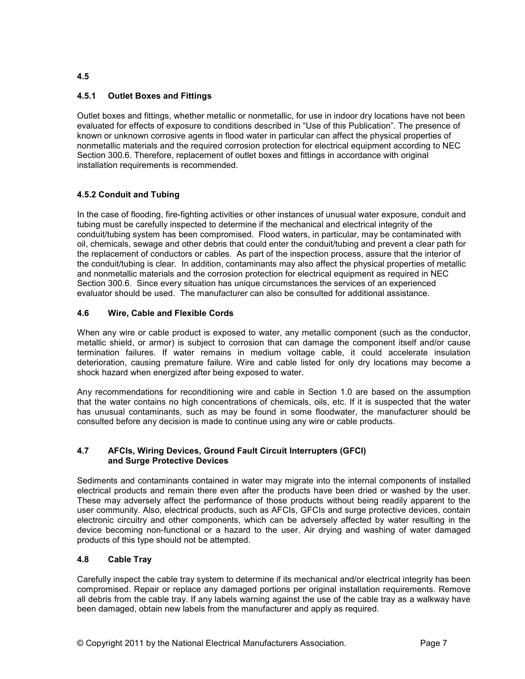# **4.5.1 Outlet Boxes and Fittings**

Outlet boxes and fittings, whether metallic or nonmetallic, for use in indoor dry locations have not been evaluated for effects of exposure to conditions described in "Use of this Publication". The presence of known or unknown corrosive agents in flood water in particular can affect the physical properties of nonmetallic materials and the required corrosion protection for electrical equipment according to NEC Section 300.6. Therefore, replacement of outlet boxes and fittings in accordance with original installation requirements is recommended.

## **4.5.2 Conduit and Tubing**

In the case of flooding, fire-fighting activities or other instances of unusual water exposure, conduit and tubing must be carefully inspected to determine if the mechanical and electrical integrity of the conduit/tubing system has been compromised. Flood waters, in particular, may be contaminated with oil, chemicals, sewage and other debris that could enter the conduit/tubing and prevent a clear path for the replacement of conductors or cables. As part of the inspection process, assure that the interior of the conduit/tubing is clear. In addition, contaminants may also affect the physical properties of metallic and nonmetallic materials and the corrosion protection for electrical equipment as required in NEC Section 300.6. Since every situation has unique circumstances the services of an experienced evaluator should be used. The manufacturer can also be consulted for additional assistance.

## **4.6 Wire, Cable and Flexible Cords**

When any wire or cable product is exposed to water, any metallic component (such as the conductor, metallic shield, or armor) is subject to corrosion that can damage the component itself and/or cause termination failures. If water remains in medium voltage cable, it could accelerate insulation deterioration, causing premature failure. Wire and cable listed for only dry locations may become a shock hazard when energized after being exposed to water.

Any recommendations for reconditioning wire and cable in Section 1.0 are based on the assumption that the water contains no high concentrations of chemicals, oils, etc. If it is suspected that the water has unusual contaminants, such as may be found in some floodwater, the manufacturer should be consulted before any decision is made to continue using any wire or cable products.

#### **4.7 AFCIs, Wiring Devices, Ground Fault Circuit Interrupters (GFCI) and Surge Protective Devices**

Sediments and contaminants contained in water may migrate into the internal components of installed electrical products and remain there even after the products have been dried or washed by the user. These may adversely affect the performance of those products without being readily apparent to the user community. Also, electrical products, such as AFCIs, GFCIs and surge protective devices, contain electronic circuitry and other components, which can be adversely affected by water resulting in the device becoming non-functional or a hazard to the user. Air drying and washing of water damaged products of this type should not be attempted.

## **4.8 Cable Tray**

Carefully inspect the cable tray system to determine if its mechanical and/or electrical integrity has been compromised. Repair or replace any damaged portions per original installation requirements. Remove all debris from the cable tray. If any labels warning against the use of the cable tray as a walkway have been damaged, obtain new labels from the manufacturer and apply as required.

**4.5**